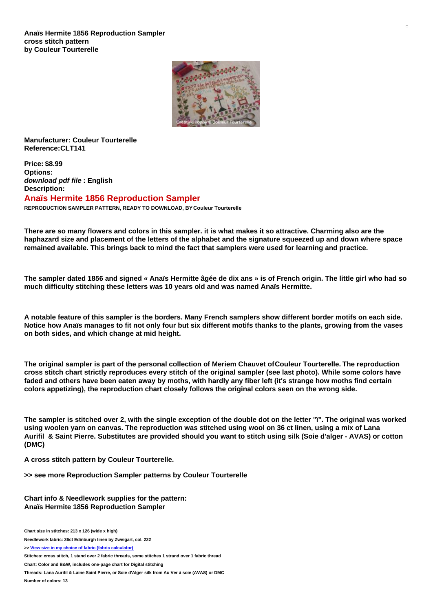

**Manufacturer: Couleur Tourterelle Reference:CLT141**

**Price: \$8.99 Options:** *download pdf file* **: English Description:**

**Anaïs Hermite 1856 Reproduction Sampler**

**REPRODUCTION SAMPLER PATTERN, READY TO DOWNLOAD, BY Couleur Tourterelle**

There are so many flowers and colors in this sampler. it is what makes it so attractive. Charming also are the haphazard size and placement of the letters of the alphabet and the signature squeezed up and down where space **remained available. This brings back to mind the fact that samplers were used for learning and practice.**

The sampler dated 1856 and signed « Anaïs Hermitte âgée de dix ans » is of French origin. The little girl who had so **much difficulty stitching these letters was 10 years old and was named Anaïs Hermitte.**

A notable feature of this sampler is the borders. Many French samplers show different border motifs on each side. Notice how Anaïs manages to fit not only four but six different motifs thanks to the plants, growing from the vases **on both sides, and which change at mid height.**

The original sampler is part of the personal collection of Meriem Chauvet of Couleur Tourterelle. The reproduction cross stitch chart strictly reproduces every stitch of the original sampler (see last photo). While some colors have faded and others have been eaten away by moths, with hardly any fiber left (it's strange how moths find certain **colors appetizing), the reproduction chart closely follows the original colors seen on the wrong side.**

The sampler is stitched over 2, with the single exception of the double dot on the letter "i". The original was worked using woolen yarn on canvas. The reproduction was stitched using wool on 36 ct linen, using a mix of Lana Aurifil & Saint Pierre. Substitutes are provided should you want to stitch using silk (Soie d'alger - AVAS) or cotton **(DMC)**

**A cross stitch pattern by Couleur Tourterelle.**

**>> see more Reproduction Sampler patterns by Couleur Tourterelle**

**Chart info & Needlework supplies for the pattern: Anaïs Hermite 1856 Reproduction Sampler**

**Chart size in stitches: 213 x 126 (wide x high)**

**Needlework fabric: 36ct Edinburgh linen by Zweigart, col. 222**

**>> View size in my choice of fabric (fabric [calculator\)](https://www.creativepoppypatterns.com/calculette-de-toile.php?products_id=3905&w=213&h=126)**

**Stitches: cross stitch, 1 stand over 2 fabric threads, some stitches 1 strand over 1 fabric thread**

**Chart: Color and B&W, includes one-page chart for Digital stitching**

Threads: Lana Aurifil & Laine Saint Pierre, or Soie d'Alger silk from Au Ver à soie (AVAS) or DMC

**Number of colors: 13**